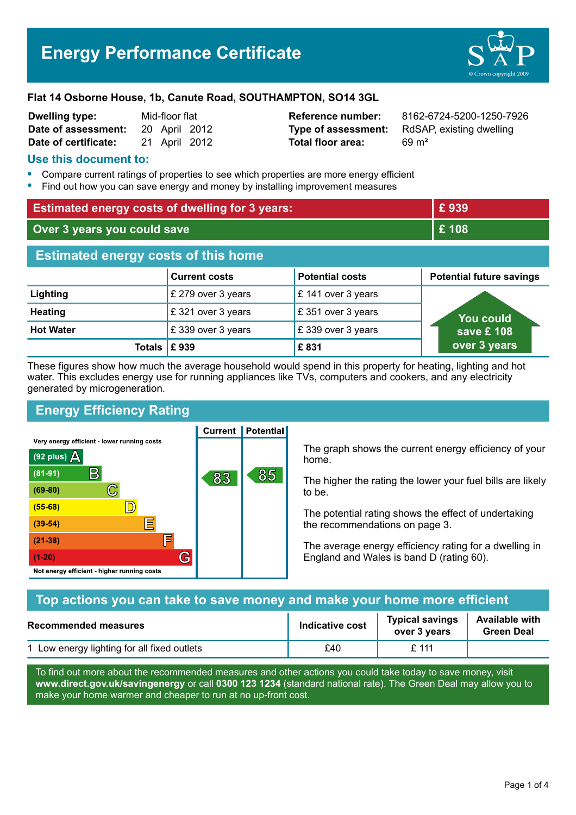

| Dwelling type:       | Mid-floor flat |               |  |
|----------------------|----------------|---------------|--|
| Date of assessment:  |                | 20 April 2012 |  |
| Date of certificate: |                | 21 April 2012 |  |

**Total floor area:** 69 m<sup>2</sup>

**Reference number:** 8162-6724-5200-1250-7926 **Type of assessment:** RdSAP, existing dwelling

### **Use this document to:**

- **•** Compare current ratings of properties to see which properties are more energy efficient
- **•** Find out how you can save energy and money by installing improvement measures

| <b>Estimated energy costs of dwelling for 3 years:</b> |                      | £939                   |                                 |
|--------------------------------------------------------|----------------------|------------------------|---------------------------------|
| Over 3 years you could save                            |                      | £108                   |                                 |
| <b>Estimated energy costs of this home</b>             |                      |                        |                                 |
|                                                        | <b>Current costs</b> | <b>Potential costs</b> | <b>Potential future savings</b> |
| Lighting                                               | £ 279 over 3 years   | £ 141 over 3 years     |                                 |
| <b>Heating</b>                                         | £321 over 3 years    | £ 351 over 3 years     | <b>You could</b>                |
| <b>Hot Water</b>                                       | £339 over 3 years    | £339 over 3 years      | save £ 108                      |
| <b>Totals</b>                                          | £939                 | £831                   | over 3 years                    |

These figures show how much the average household would spend in this property for heating, lighting and hot water. This excludes energy use for running appliances like TVs, computers and cookers, and any electricity generated by microgeneration.

# **Energy Efficiency Rating**

Very energy efficient - lower running costs



**Current | Potential** 

The graph shows the current energy efficiency of your home.

The higher the rating the lower your fuel bills are likely to be.

The potential rating shows the effect of undertaking the recommendations on page 3.

The average energy efficiency rating for a dwelling in England and Wales is band D (rating 60).

| Top actions you can take to save money and make your home more efficient |                        |                                        |                                            |
|--------------------------------------------------------------------------|------------------------|----------------------------------------|--------------------------------------------|
| <b>Recommended measures</b>                                              | <b>Indicative cost</b> | <b>Typical savings</b><br>over 3 years | <b>Available with</b><br><b>Green Deal</b> |
| 1 Low energy lighting for all fixed outlets                              | £40                    | $f$ 111                                |                                            |

To find out more about the recommended measures and other actions you could take today to save money, visit **www.direct.gov.uk/savingenergy** or call **0300 123 1234** (standard national rate). The Green Deal may allow you to make your home warmer and cheaper to run at no up-front cost.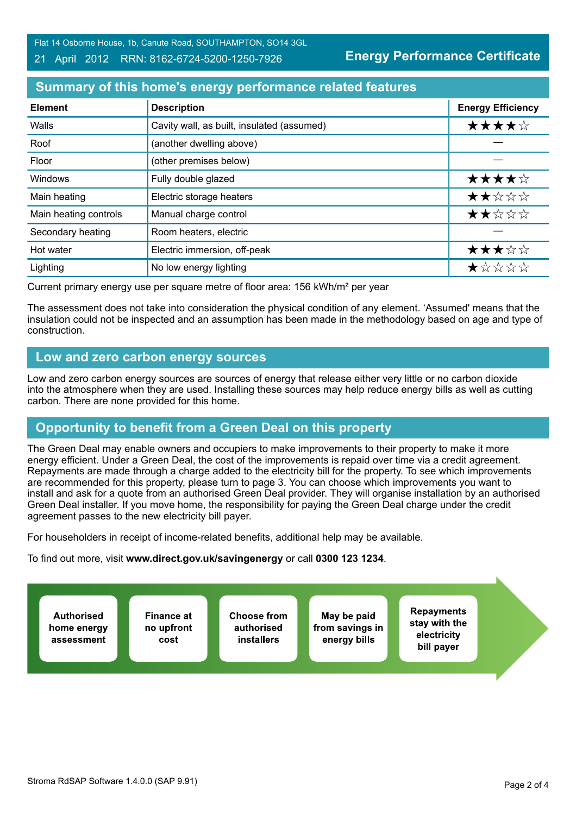#### 21 April 2012 RRN: 8162-6724-5200-1250-7926

**Energy Performance Certificate**

## **Summary of this home's energy performance related features**

| <b>Element</b>        | <b>Description</b>                         | <b>Energy Efficiency</b> |
|-----------------------|--------------------------------------------|--------------------------|
| Walls                 | Cavity wall, as built, insulated (assumed) | ★★★★☆                    |
| Roof                  | (another dwelling above)                   |                          |
| Floor                 | (other premises below)                     |                          |
| Windows               | Fully double glazed                        | ★★★★☆                    |
| Main heating          | Electric storage heaters                   | ★★☆☆☆                    |
| Main heating controls | Manual charge control                      | ★★☆☆☆                    |
| Secondary heating     | Room heaters, electric                     |                          |
| Hot water             | Electric immersion, off-peak               | ★★★☆☆                    |
| Lighting              | No low energy lighting                     | ★☆☆☆☆                    |

Current primary energy use per square metre of floor area: 156 kWh/m² per year

The assessment does not take into consideration the physical condition of any element. 'Assumed' means that the insulation could not be inspected and an assumption has been made in the methodology based on age and type of construction.

### **Low and zero carbon energy sources**

Low and zero carbon energy sources are sources of energy that release either very little or no carbon dioxide into the atmosphere when they are used. Installing these sources may help reduce energy bills as well as cutting carbon. There are none provided for this home.

# **Opportunity to benefit from a Green Deal on this property**

The Green Deal may enable owners and occupiers to make improvements to their property to make it more energy efficient. Under a Green Deal, the cost of the improvements is repaid over time via a credit agreement. Repayments are made through a charge added to the electricity bill for the property. To see which improvements are recommended for this property, please turn to page 3. You can choose which improvements you want to install and ask for a quote from an authorised Green Deal provider. They will organise installation by an authorised Green Deal installer. If you move home, the responsibility for paying the Green Deal charge under the credit agreement passes to the new electricity bill payer.

For householders in receipt of income-related benefits, additional help may be available.

To find out more, visit **www.direct.gov.uk/savingenergy** or call **0300 123 1234**.

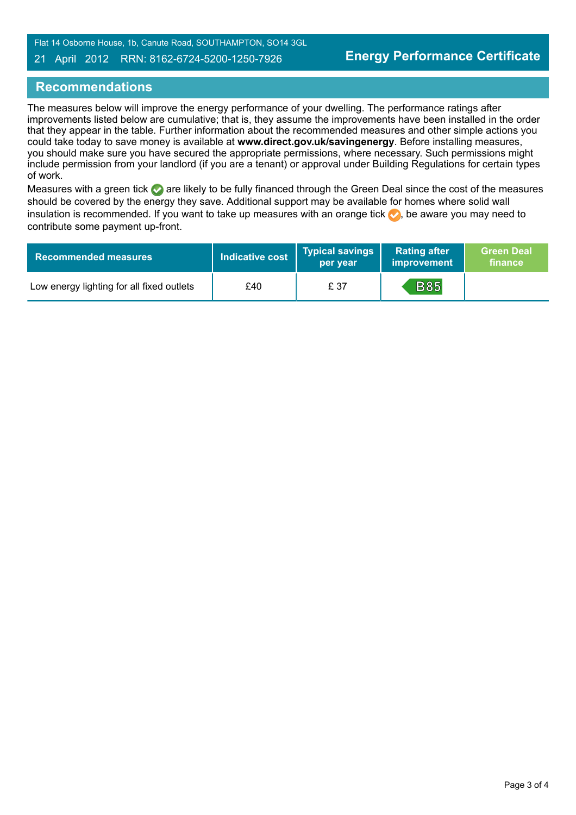#### 21 April 2012 RRN: 8162-6724-5200-1250-7926

### **Recommendations**

The measures below will improve the energy performance of your dwelling. The performance ratings after improvements listed below are cumulative; that is, they assume the improvements have been installed in the order that they appear in the table. Further information about the recommended measures and other simple actions you could take today to save money is available at **www.direct.gov.uk/savingenergy**. Before installing measures, you should make sure you have secured the appropriate permissions, where necessary. Such permissions might include permission from your landlord (if you are a tenant) or approval under Building Regulations for certain types of work.

Measures with a green tick are likely to be fully financed through the Green Deal since the cost of the measures should be covered by the energy they save. Additional support may be available for homes where solid wall insulation is recommended. If you want to take up measures with an orange tick  $\bullet$ , be aware you may need to contribute some payment up-front.

| <b>Recommended measures</b>               | Indicative cost | <b>Typical savings</b><br>per vear | <b>Rating after</b><br>improvement | <b>Green Deal</b><br>finance |
|-------------------------------------------|-----------------|------------------------------------|------------------------------------|------------------------------|
| Low energy lighting for all fixed outlets | £40             | £ 37                               | <b>B85</b>                         |                              |